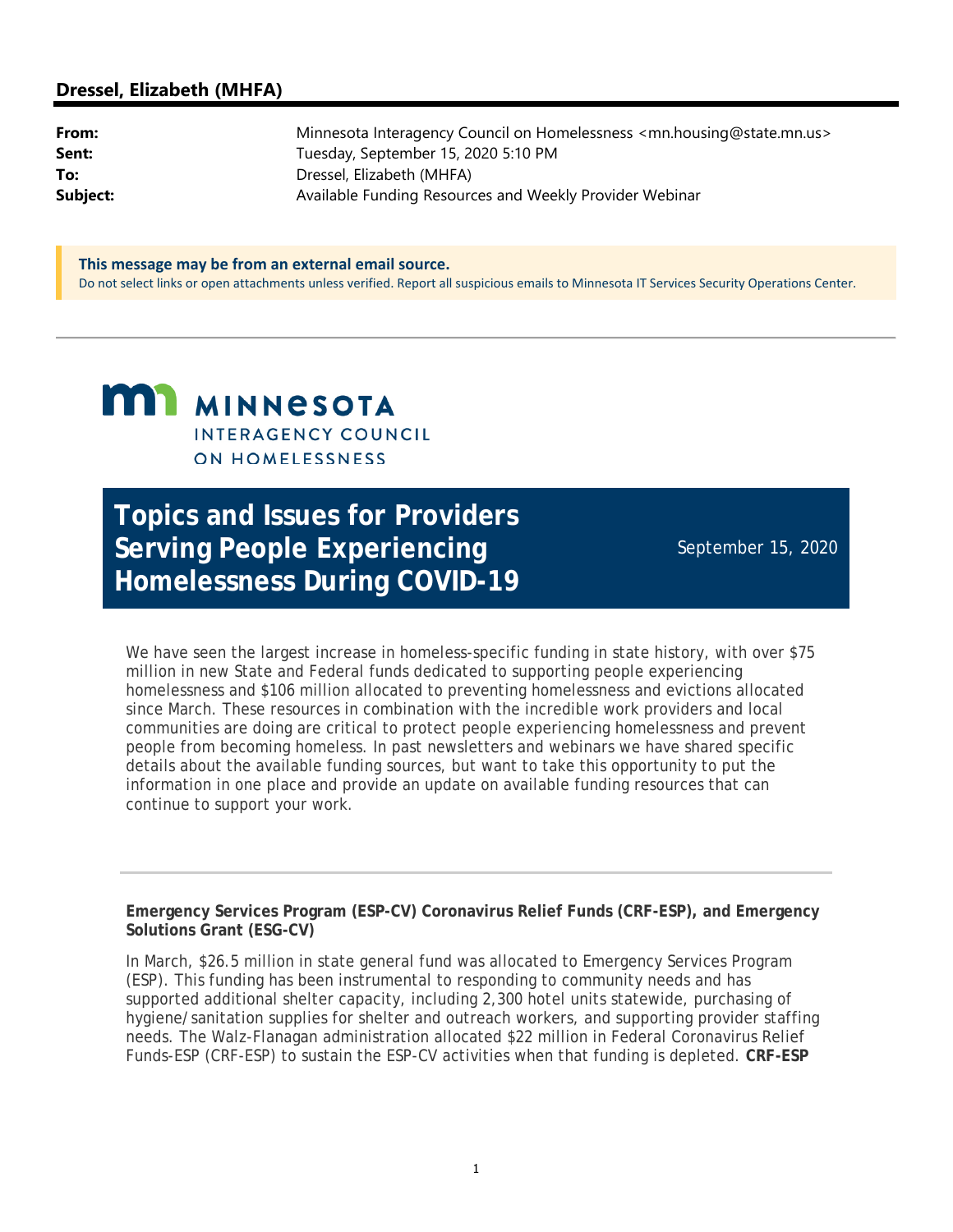#### **Dressel, Elizabeth (MHFA)**

| From:    | Minnesota Interagency Council on Homelessness <mn.housing@state.mn.us></mn.housing@state.mn.us> |
|----------|-------------------------------------------------------------------------------------------------|
| Sent:    | Tuesday, September 15, 2020 5:10 PM                                                             |
| To:      | Dressel, Elizabeth (MHFA)                                                                       |
| Subject: | Available Funding Resources and Weekly Provider Webinar                                         |

**This message may be from an external email source.** Do not select links or open attachments unless verified. Report all suspicious emails to Minnesota IT Services Security Operations Center.

# **MI MINNESOTA** INTERAGENCY COUNCIL **ON HOMELESSNESS**

**Topics and Issues for Providers Serving People Experiencing Homelessness During COVID-19**

September 15, 2020

We have seen the largest increase in homeless-specific funding in state history, with over \$75 million in new State and Federal funds dedicated to supporting people experiencing homelessness and \$106 million allocated to preventing homelessness and evictions allocated since March. These resources in combination with the incredible work providers and local communities are doing are critical to protect people experiencing homelessness and prevent people from becoming homeless. In past newsletters and webinars we have shared specific details about the available funding sources, but want to take this opportunity to put the information in one place and provide an update on available funding resources that can continue to support your work.

**Emergency Services Program (ESP-CV) Coronavirus Relief Funds (CRF-ESP), and Emergency Solutions Grant (ESG-CV)**

In March, \$26.5 million in state general fund was allocated to Emergency Services Program (ESP). This funding has been instrumental to responding to community needs and has supported additional shelter capacity, including 2,300 hotel units statewide, purchasing of hygiene/sanitation supplies for shelter and outreach workers, and supporting provider staffing needs. The Walz-Flanagan administration allocated \$22 million in Federal Coronavirus Relief Funds-ESP (CRF-ESP) to sustain the ESP-CV activities when that funding is depleted. **CRF-ESP**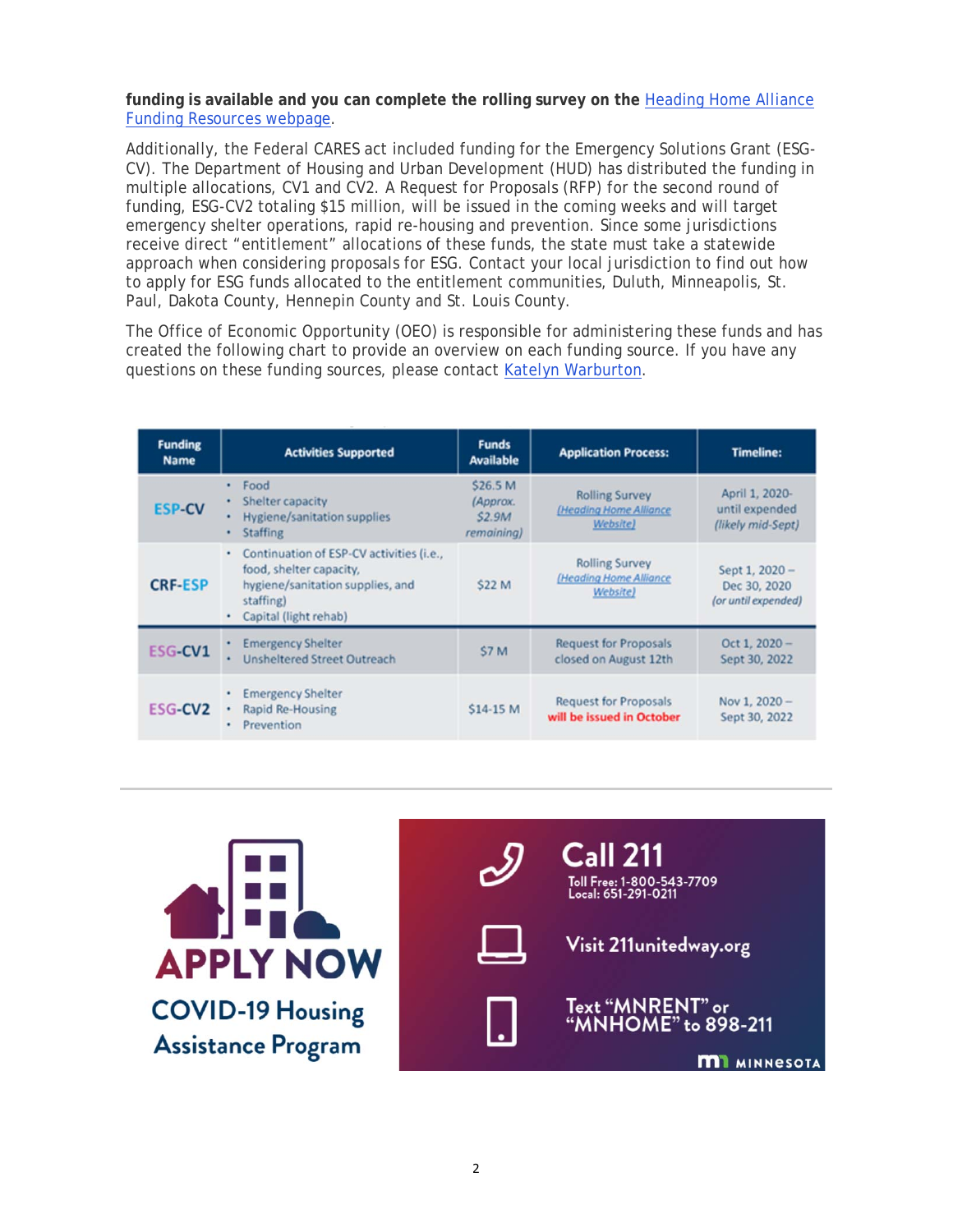**funding is available and you can complete the rolling survey on the** Heading Home Alliance Funding Resources webpage.

Additionally, the Federal CARES act included funding for the Emergency Solutions Grant (ESG-CV). The Department of Housing and Urban Development (HUD) has distributed the funding in multiple allocations, CV1 and CV2. A Request for Proposals (RFP) for the second round of funding, ESG-CV2 totaling \$15 million, will be issued in the coming weeks and will target emergency shelter operations, rapid re-housing and prevention. Since some jurisdictions receive direct "entitlement" allocations of these funds, the state must take a statewide approach when considering proposals for ESG. Contact your local jurisdiction to find out how to apply for ESG funds allocated to the entitlement communities, Duluth, Minneapolis, St. Paul, Dakota County, Hennepin County and St. Louis County.

The Office of Economic Opportunity (OEO) is responsible for administering these funds and has created the following chart to provide an overview on each funding source. If you have any questions on these funding sources, please contact Katelyn Warburton.

| <b>Funding</b><br><b>Name</b> | <b>Activities Supported</b>                                                                                                                        | <b>Funds</b><br><b>Available</b>                   | <b>Application Process:</b>                                 | <b>Timeline:</b>                                      |
|-------------------------------|----------------------------------------------------------------------------------------------------------------------------------------------------|----------------------------------------------------|-------------------------------------------------------------|-------------------------------------------------------|
| <b>ESP-CV</b>                 | Food<br>٠<br>Shelter capacity<br>٠<br><b>Hygiene/sanitation supplies</b><br>٠<br><b>Staffing</b><br>٠                                              | \$26.5 M<br>(Approx.<br><b>S2.9M</b><br>remaining) | <b>Rolling Survey</b><br>(Heading Home Alliance<br>Website) | April 1, 2020-<br>until expended<br>(likely mid-Sept) |
| <b>CRF-ESP</b>                | Continuation of ESP-CV activities (i.e.,<br>٠<br>food, shelter capacity,<br>hygiene/sanitation supplies, and<br>staffing)<br>Capital (light rehab) | <b>S22 M</b>                                       | <b>Rolling Survey</b><br>(Heading Home Alliance<br>Website) | Sept 1, 2020 -<br>Dec 30, 2020<br>(or until expended) |
| <b>ESG-CV1</b>                | <b>Emergency Shelter</b><br><b>Unsheltered Street Outreach</b><br>٠                                                                                | \$7 M                                              | <b>Request for Proposals</b><br>closed on August 12th       | Oct 1, $2020 -$<br>Sept 30, 2022                      |
| ESG-CV <sub>2</sub>           | <b>Emergency Shelter</b><br>Rapid Re-Housing<br>٠<br>Prevention<br>٠                                                                               | \$14-15 M                                          | <b>Request for Proposals</b><br>will be issued in October   | Nov 1, 2020 -<br>Sept 30, 2022                        |

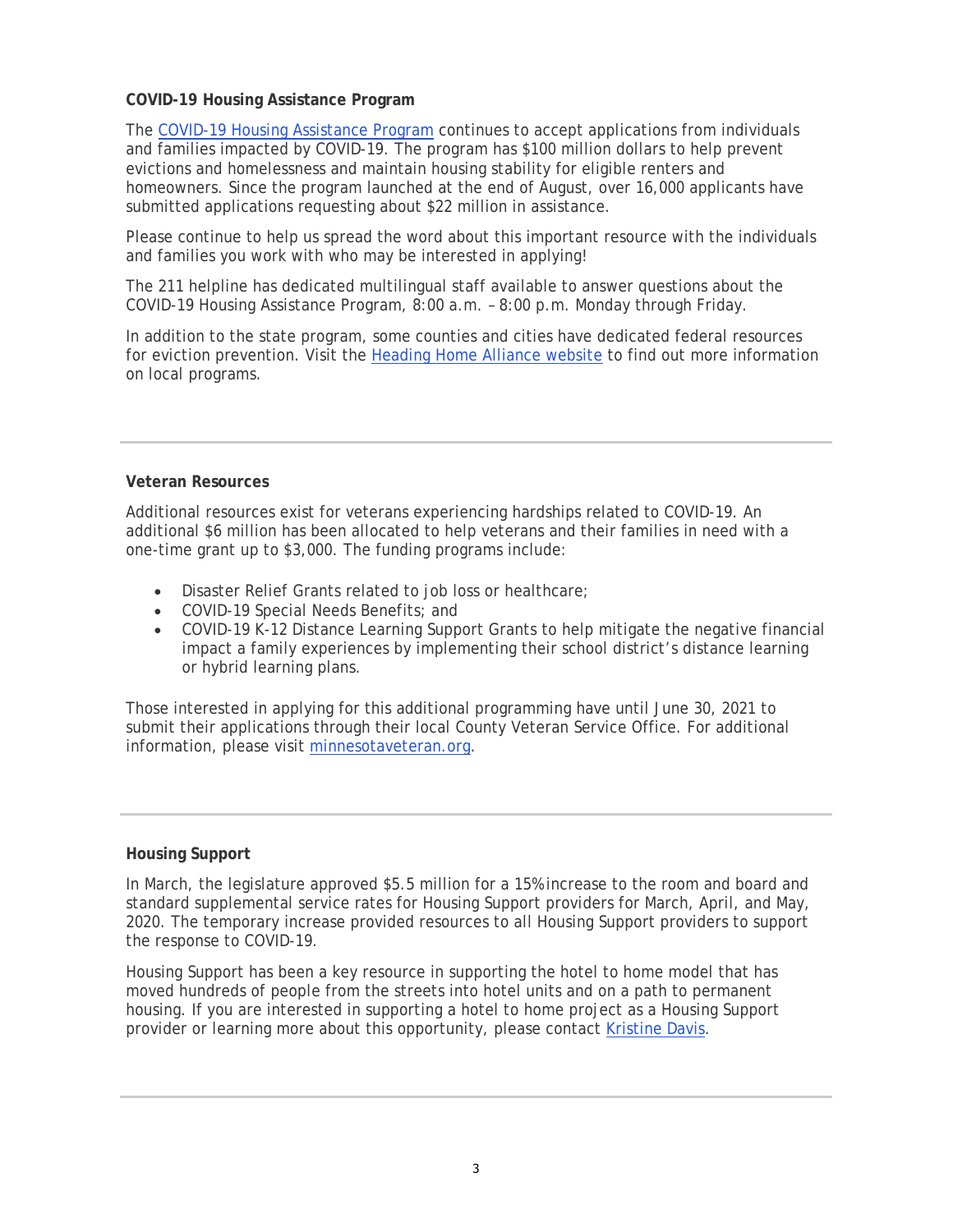#### **COVID-19 Housing Assistance Program**

The COVID-19 Housing Assistance Program continues to accept applications from individuals and families impacted by COVID-19. The program has \$100 million dollars to help prevent evictions and homelessness and maintain housing stability for eligible renters and homeowners. Since the program launched at the end of August, over 16,000 applicants have submitted applications requesting about \$22 million in assistance.

Please continue to help us spread the word about this important resource with the individuals and families you work with who may be interested in applying!

The 211 helpline has dedicated multilingual staff available to answer questions about the COVID-19 Housing Assistance Program, 8:00 a.m. – 8:00 p.m. Monday through Friday.

In addition to the state program, some counties and cities have dedicated federal resources for eviction prevention. Visit the Heading Home Alliance website to find out more information on local programs.

#### **Veteran Resources**

Additional resources exist for veterans experiencing hardships related to COVID-19. An additional \$6 million has been allocated to help veterans and their families in need with a one-time grant up to \$3,000. The funding programs include:

- Disaster Relief Grants related to job loss or healthcare;
- COVID-19 Special Needs Benefits; and
- COVID-19 K-12 Distance Learning Support Grants to help mitigate the negative financial impact a family experiences by implementing their school district's distance learning or hybrid learning plans.

Those interested in applying for this additional programming have until June 30, 2021 to submit their applications through their local County Veteran Service Office. For additional information, please visit minnesotaveteran.org.

#### **Housing Support**

In March, the legislature approved \$5.5 million for a 15% increase to the room and board and standard supplemental service rates for Housing Support providers for March, April, and May, 2020. The temporary increase provided resources to all Housing Support providers to support the response to COVID-19.

Housing Support has been a key resource in supporting the hotel to home model that has moved hundreds of people from the streets into hotel units and on a path to permanent housing. If you are interested in supporting a hotel to home project as a Housing Support provider or learning more about this opportunity, please contact Kristine Davis.